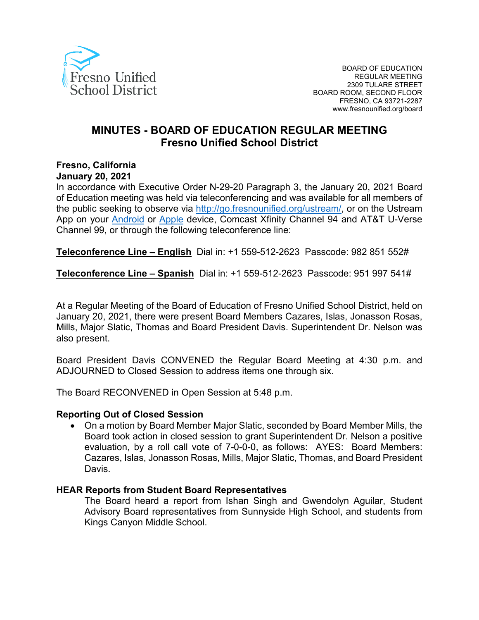

# **MINUTES - BOARD OF EDUCATION REGULAR MEETING Fresno Unified School District**

# **Fresno, California**

#### **January 20, 2021**

In accordance with Executive Order N-29-20 Paragraph 3, the January 20, 2021 Board of Education meeting was held via teleconferencing and was available for all members of the public seeking to observe via [http://go.fresnounified.org/ustream/,](http://go.fresnounified.org/ustream/) or on the Ustream App on your [Android](https://play.google.com/store/apps/details?id=tv.ustream.ustream&hl=en_US) or [Apple](https://itunes.apple.com/us/app/ustream/id301520250?mt=8) device, Comcast Xfinity Channel 94 and AT&T U-Verse Channel 99, or through the following teleconference line:

**Teleconference Line – English** Dial in: +1 559-512-2623 Passcode: 982 851 552#

**Teleconference Line – Spanish** Dial in: +1 559-512-2623 Passcode: 951 997 541#

At a Regular Meeting of the Board of Education of Fresno Unified School District, held on January 20, 2021, there were present Board Members Cazares, Islas, Jonasson Rosas, Mills, Major Slatic, Thomas and Board President Davis. Superintendent Dr. Nelson was also present.

Board President Davis CONVENED the Regular Board Meeting at 4:30 p.m. and ADJOURNED to Closed Session to address items one through six.

The Board RECONVENED in Open Session at 5:48 p.m.

#### **Reporting Out of Closed Session**

• On a motion by Board Member Major Slatic, seconded by Board Member Mills, the Board took action in closed session to grant Superintendent Dr. Nelson a positive evaluation, by a roll call vote of 7-0-0-0, as follows: AYES: Board Members: Cazares, Islas, Jonasson Rosas, Mills, Major Slatic, Thomas, and Board President Davis.

#### **HEAR Reports from Student Board Representatives**

The Board heard a report from Ishan Singh and Gwendolyn Aguilar, Student Advisory Board representatives from Sunnyside High School, and students from Kings Canyon Middle School.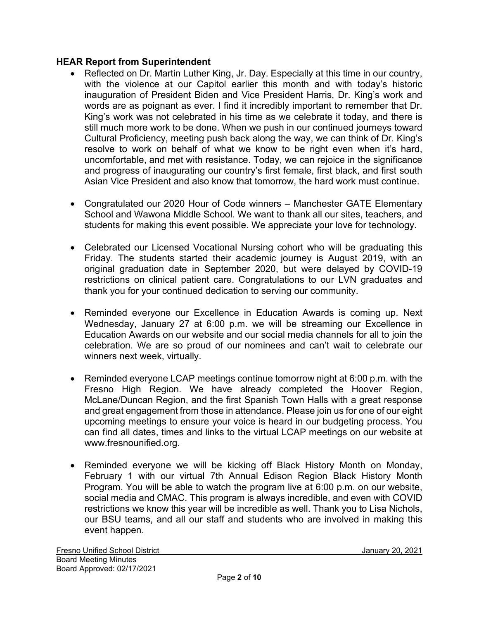#### **HEAR Report from Superintendent**

- Reflected on Dr. Martin Luther King, Jr. Day. Especially at this time in our country, with the violence at our Capitol earlier this month and with today's historic inauguration of President Biden and Vice President Harris, Dr. King's work and words are as poignant as ever. I find it incredibly important to remember that Dr. King's work was not celebrated in his time as we celebrate it today, and there is still much more work to be done. When we push in our continued journeys toward Cultural Proficiency, meeting push back along the way, we can think of Dr. King's resolve to work on behalf of what we know to be right even when it's hard, uncomfortable, and met with resistance. Today, we can rejoice in the significance and progress of inaugurating our country's first female, first black, and first south Asian Vice President and also know that tomorrow, the hard work must continue.
- Congratulated our 2020 Hour of Code winners Manchester GATE Elementary School and Wawona Middle School. We want to thank all our sites, teachers, and students for making this event possible. We appreciate your love for technology.
- Celebrated our Licensed Vocational Nursing cohort who will be graduating this Friday. The students started their academic journey is August 2019, with an original graduation date in September 2020, but were delayed by COVID-19 restrictions on clinical patient care. Congratulations to our LVN graduates and thank you for your continued dedication to serving our community.
- Reminded everyone our Excellence in Education Awards is coming up. Next Wednesday, January 27 at 6:00 p.m. we will be streaming our Excellence in Education Awards on our website and our social media channels for all to join the celebration. We are so proud of our nominees and can't wait to celebrate our winners next week, virtually.
- Reminded everyone LCAP meetings continue tomorrow night at 6:00 p.m. with the Fresno High Region. We have already completed the Hoover Region, McLane/Duncan Region, and the first Spanish Town Halls with a great response and great engagement from those in attendance. Please join us for one of our eight upcoming meetings to ensure your voice is heard in our budgeting process. You can find all dates, times and links to the virtual LCAP meetings on our website at www.fresnounified.org.
- Reminded everyone we will be kicking off Black History Month on Monday, February 1 with our virtual 7th Annual Edison Region Black History Month Program. You will be able to watch the program live at 6:00 p.m. on our website, social media and CMAC. This program is always incredible, and even with COVID restrictions we know this year will be incredible as well. Thank you to Lisa Nichols, our BSU teams, and all our staff and students who are involved in making this event happen.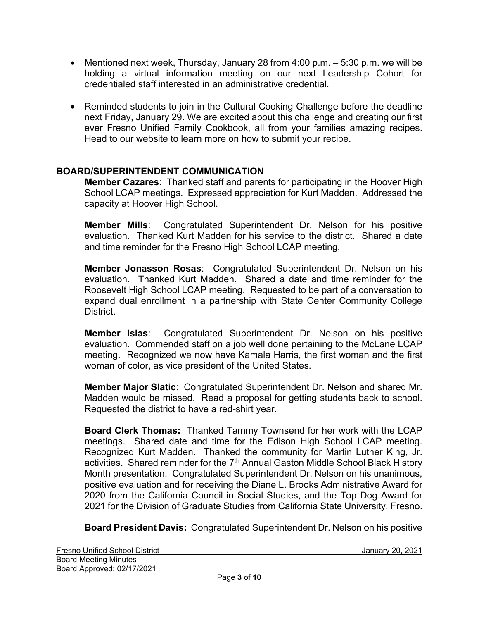- Mentioned next week, Thursday, January 28 from 4:00 p.m. 5:30 p.m. we will be holding a virtual information meeting on our next Leadership Cohort for credentialed staff interested in an administrative credential.
- Reminded students to join in the Cultural Cooking Challenge before the deadline next Friday, January 29. We are excited about this challenge and creating our first ever Fresno Unified Family Cookbook, all from your families amazing recipes. Head to our website to learn more on how to submit your recipe.

## **BOARD/SUPERINTENDENT COMMUNICATION**

**Member Cazares**:Thanked staff and parents for participating in the Hoover High School LCAP meetings. Expressed appreciation for Kurt Madden. Addressed the capacity at Hoover High School.

**Member Mills**: Congratulated Superintendent Dr. Nelson for his positive evaluation. Thanked Kurt Madden for his service to the district. Shared a date and time reminder for the Fresno High School LCAP meeting.

**Member Jonasson Rosas**: Congratulated Superintendent Dr. Nelson on his evaluation. Thanked Kurt Madden. Shared a date and time reminder for the Roosevelt High School LCAP meeting. Requested to be part of a conversation to expand dual enrollment in a partnership with State Center Community College **District** 

**Member Islas**: Congratulated Superintendent Dr. Nelson on his positive evaluation. Commended staff on a job well done pertaining to the McLane LCAP meeting. Recognized we now have Kamala Harris, the first woman and the first woman of color, as vice president of the United States.

**Member Major Slatic**: Congratulated Superintendent Dr. Nelson and shared Mr. Madden would be missed. Read a proposal for getting students back to school. Requested the district to have a red-shirt year.

**Board Clerk Thomas:** Thanked Tammy Townsend for her work with the LCAP meetings. Shared date and time for the Edison High School LCAP meeting. Recognized Kurt Madden.Thanked the community for Martin Luther King, Jr. activities. Shared reminder for the 7<sup>th</sup> Annual Gaston Middle School Black History Month presentation. Congratulated Superintendent Dr. Nelson on his unanimous, positive evaluation and for receiving the Diane L. Brooks Administrative Award for 2020 from the California Council in Social Studies, and the Top Dog Award for 2021 for the Division of Graduate Studies from California State University, Fresno.

**Board President Davis:** Congratulated Superintendent Dr. Nelson on his positive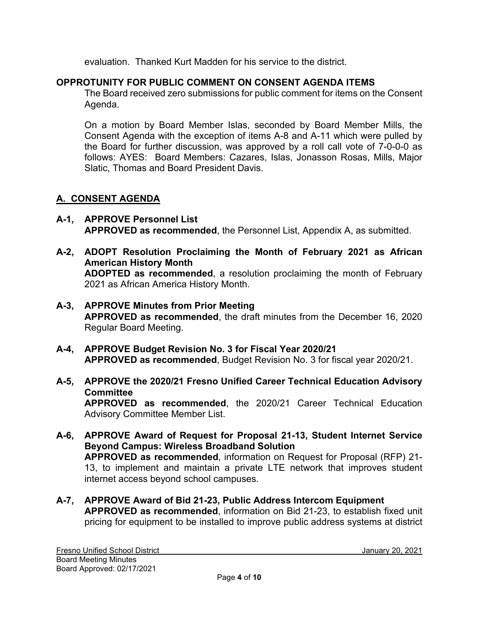evaluation. Thanked Kurt Madden for his service to the district.

## **OPPROTUNITY FOR PUBLIC COMMENT ON CONSENT AGENDA ITEMS**

The Board received zero submissions for public comment for items on the Consent Agenda.

On a motion by Board Member Islas, seconded by Board Member Mills, the Consent Agenda with the exception of items A-8 and A-11 which were pulled by the Board for further discussion, was approved by a roll call vote of 7-0-0-0 as follows: AYES: Board Members: Cazares, Islas, Jonasson Rosas, Mills, Major Slatic, Thomas and Board President Davis.

## **A. CONSENT AGENDA**

- **A-1, APPROVE Personnel List APPROVED as recommended**, the Personnel List, Appendix A, as submitted.
- **A-2, ADOPT Resolution Proclaiming the Month of February 2021 as African American History Month ADOPTED as recommended**, a resolution proclaiming the month of February 2021 as African America History Month.
- **A-3, APPROVE Minutes from Prior Meeting APPROVED as recommended**, the draft minutes from the December 16, 2020 Regular Board Meeting.
- **A-4, APPROVE Budget Revision No. 3 for Fiscal Year 2020/21 APPROVED as recommended**, Budget Revision No. 3 for fiscal year 2020/21.

# **A-5, APPROVE the 2020/21 Fresno Unified Career Technical Education Advisory Committee**

**APPROVED as recommended**, the 2020/21 Career Technical Education Advisory Committee Member List.

- **A-6, APPROVE Award of Request for Proposal 21-13, Student Internet Service Beyond Campus: Wireless Broadband Solution APPROVED as recommended**, information on Request for Proposal (RFP) 21- 13, to implement and maintain a private LTE network that improves student internet access beyond school campuses.
- **A-7, APPROVE Award of Bid 21-23, Public Address Intercom Equipment APPROVED as recommended**, information on Bid 21-23, to establish fixed unit pricing for equipment to be installed to improve public address systems at district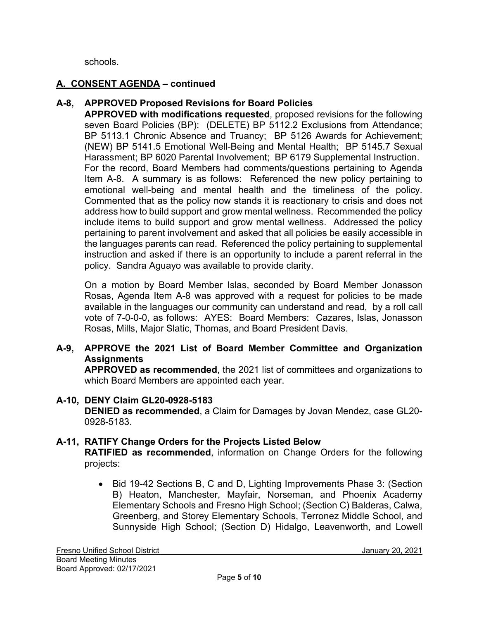schools.

## **A. CONSENT AGENDA – continued**

## **A-8, APPROVED Proposed Revisions for Board Policies**

**APPROVED with modifications requested**, proposed revisions for the following seven Board Policies (BP): (DELETE) BP 5112.2 Exclusions from Attendance; BP 5113.1 Chronic Absence and Truancy; BP 5126 Awards for Achievement; (NEW) BP 5141.5 Emotional Well-Being and Mental Health; BP 5145.7 Sexual Harassment; BP 6020 Parental Involvement; BP 6179 Supplemental Instruction. For the record, Board Members had comments/questions pertaining to Agenda Item A-8. A summary is as follows: Referenced the new policy pertaining to emotional well-being and mental health and the timeliness of the policy. Commented that as the policy now stands it is reactionary to crisis and does not address how to build support and grow mental wellness. Recommended the policy include items to build support and grow mental wellness. Addressed the policy pertaining to parent involvement and asked that all policies be easily accessible in the languages parents can read. Referenced the policy pertaining to supplemental instruction and asked if there is an opportunity to include a parent referral in the policy. Sandra Aguayo was available to provide clarity.

On a motion by Board Member Islas, seconded by Board Member Jonasson Rosas, Agenda Item A-8 was approved with a request for policies to be made available in the languages our community can understand and read, by a roll call vote of 7-0-0-0, as follows: AYES: Board Members: Cazares, Islas, Jonasson Rosas, Mills, Major Slatic, Thomas, and Board President Davis.

## **A-9, APPROVE the 2021 List of Board Member Committee and Organization Assignments**

**APPROVED as recommended**, the 2021 list of committees and organizations to which Board Members are appointed each year.

#### **A-10, DENY Claim GL20-0928-5183**

**DENIED as recommended**, a Claim for Damages by Jovan Mendez, case GL20- 0928-5183.

#### **A-11, RATIFY Change Orders for the Projects Listed Below**

**RATIFIED as recommended**, information on Change Orders for the following projects:

• Bid 19-42 Sections B, C and D, Lighting Improvements Phase 3: (Section B) Heaton, Manchester, Mayfair, Norseman, and Phoenix Academy Elementary Schools and Fresno High School; (Section C) Balderas, Calwa, Greenberg, and Storey Elementary Schools, Terronez Middle School, and Sunnyside High School; (Section D) Hidalgo, Leavenworth, and Lowell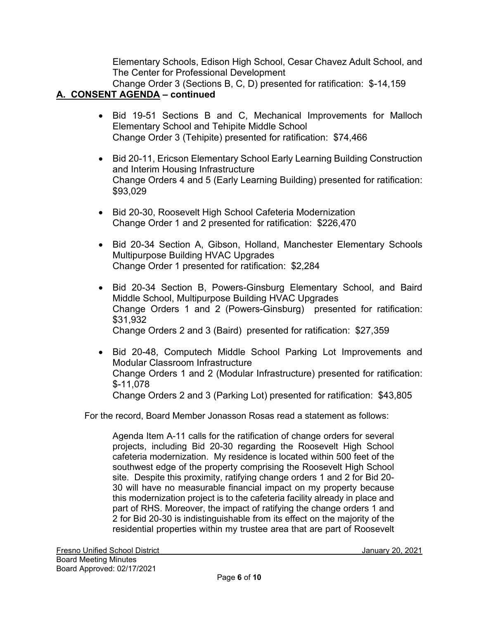Elementary Schools, Edison High School, Cesar Chavez Adult School, and The Center for Professional Development

Change Order 3 (Sections B, C, D) presented for ratification: \$-14,159 **A. CONSENT AGENDA – continued**

- Bid 19-51 Sections B and C, Mechanical Improvements for Malloch Elementary School and Tehipite Middle School Change Order 3 (Tehipite) presented for ratification: \$74,466
- Bid 20-11, Ericson Elementary School Early Learning Building Construction and Interim Housing Infrastructure Change Orders 4 and 5 (Early Learning Building) presented for ratification: \$93,029
- Bid 20-30, Roosevelt High School Cafeteria Modernization Change Order 1 and 2 presented for ratification: \$226,470
- Bid 20-34 Section A, Gibson, Holland, Manchester Elementary Schools Multipurpose Building HVAC Upgrades Change Order 1 presented for ratification: \$2,284
- Bid 20-34 Section B, Powers-Ginsburg Elementary School, and Baird Middle School, Multipurpose Building HVAC Upgrades Change Orders 1 and 2 (Powers-Ginsburg) presented for ratification: \$31,932 Change Orders 2 and 3 (Baird) presented for ratification: \$27,359
- Bid 20-48, Computech Middle School Parking Lot Improvements and Modular Classroom Infrastructure Change Orders 1 and 2 (Modular Infrastructure) presented for ratification: \$-11,078 Change Orders 2 and 3 (Parking Lot) presented for ratification: \$43,805

For the record, Board Member Jonasson Rosas read a statement as follows:

Agenda Item A-11 calls for the ratification of change orders for several projects, including Bid 20-30 regarding the Roosevelt High School cafeteria modernization. My residence is located within 500 feet of the southwest edge of the property comprising the Roosevelt High School site. Despite this proximity, ratifying change orders 1 and 2 for Bid 20- 30 will have no measurable financial impact on my property because this modernization project is to the cafeteria facility already in place and part of RHS. Moreover, the impact of ratifying the change orders 1 and 2 for Bid 20-30 is indistinguishable from its effect on the majority of the residential properties within my trustee area that are part of Roosevelt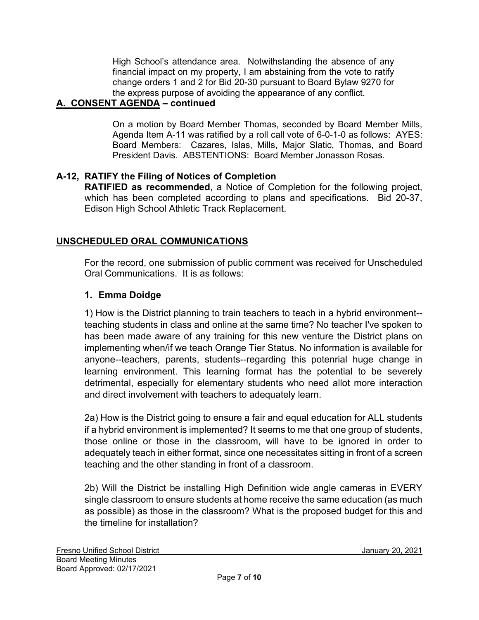High School's attendance area. Notwithstanding the absence of any financial impact on my property, I am abstaining from the vote to ratify change orders 1 and 2 for Bid 20-30 pursuant to Board Bylaw 9270 for the express purpose of avoiding the appearance of any conflict.

# **A. CONSENT AGENDA – continued**

On a motion by Board Member Thomas, seconded by Board Member Mills, Agenda Item A-11 was ratified by a roll call vote of 6-0-1-0 as follows: AYES: Board Members: Cazares, Islas, Mills, Major Slatic, Thomas, and Board President Davis. ABSTENTIONS: Board Member Jonasson Rosas.

#### **A-12, RATIFY the Filing of Notices of Completion**

**RATIFIED as recommended**, a Notice of Completion for the following project, which has been completed according to plans and specifications. Bid 20-37, Edison High School Athletic Track Replacement.

## **UNSCHEDULED ORAL COMMUNICATIONS**

For the record, one submission of public comment was received for Unscheduled Oral Communications. It is as follows:

#### **1. Emma Doidge**

1) How is the District planning to train teachers to teach in a hybrid environment- teaching students in class and online at the same time? No teacher I've spoken to has been made aware of any training for this new venture the District plans on implementing when/if we teach Orange Tier Status. No information is available for anyone--teachers, parents, students--regarding this potenrial huge change in learning environment. This learning format has the potential to be severely detrimental, especially for elementary students who need allot more interaction and direct involvement with teachers to adequately learn.

2a) How is the District going to ensure a fair and equal education for ALL students if a hybrid environment is implemented? It seems to me that one group of students, those online or those in the classroom, will have to be ignored in order to adequately teach in either format, since one necessitates sitting in front of a screen teaching and the other standing in front of a classroom.

2b) Will the District be installing High Definition wide angle cameras in EVERY single classroom to ensure students at home receive the same education (as much as possible) as those in the classroom? What is the proposed budget for this and the timeline for installation?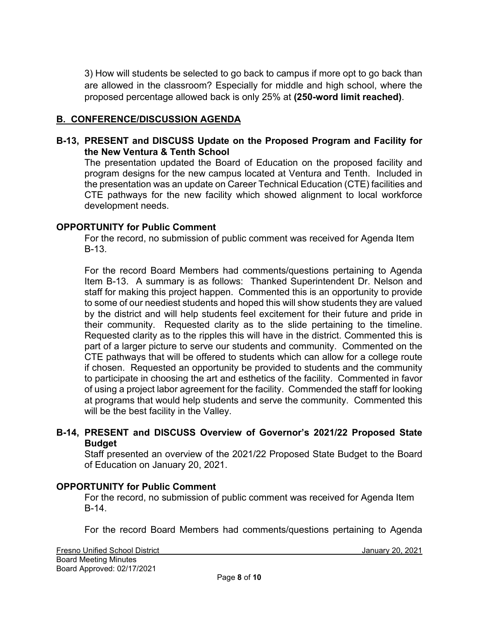3) How will students be selected to go back to campus if more opt to go back than are allowed in the classroom? Especially for middle and high school, where the proposed percentage allowed back is only 25% at **(250-word limit reached)**.

#### **B. CONFERENCE/DISCUSSION AGENDA**

#### **B-13, PRESENT and DISCUSS Update on the Proposed Program and Facility for the New Ventura & Tenth School**

The presentation updated the Board of Education on the proposed facility and program designs for the new campus located at Ventura and Tenth. Included in the presentation was an update on Career Technical Education (CTE) facilities and CTE pathways for the new facility which showed alignment to local workforce development needs.

#### **OPPORTUNITY for Public Comment**

For the record, no submission of public comment was received for Agenda Item B-13.

For the record Board Members had comments/questions pertaining to Agenda Item B-13. A summary is as follows: Thanked Superintendent Dr. Nelson and staff for making this project happen. Commented this is an opportunity to provide to some of our neediest students and hoped this will show students they are valued by the district and will help students feel excitement for their future and pride in their community. Requested clarity as to the slide pertaining to the timeline. Requested clarity as to the ripples this will have in the district. Commented this is part of a larger picture to serve our students and community. Commented on the CTE pathways that will be offered to students which can allow for a college route if chosen. Requested an opportunity be provided to students and the community to participate in choosing the art and esthetics of the facility. Commented in favor of using a project labor agreement for the facility. Commended the staff for looking at programs that would help students and serve the community. Commented this will be the best facility in the Valley.

#### **B-14, PRESENT and DISCUSS Overview of Governor's 2021/22 Proposed State Budget**

Staff presented an overview of the 2021/22 Proposed State Budget to the Board of Education on January 20, 2021.

#### **OPPORTUNITY for Public Comment**

For the record, no submission of public comment was received for Agenda Item B-14.

For the record Board Members had comments/questions pertaining to Agenda

Fresno Unified School District January 20, 2021 Board Meeting Minutes Board Approved: 02/17/2021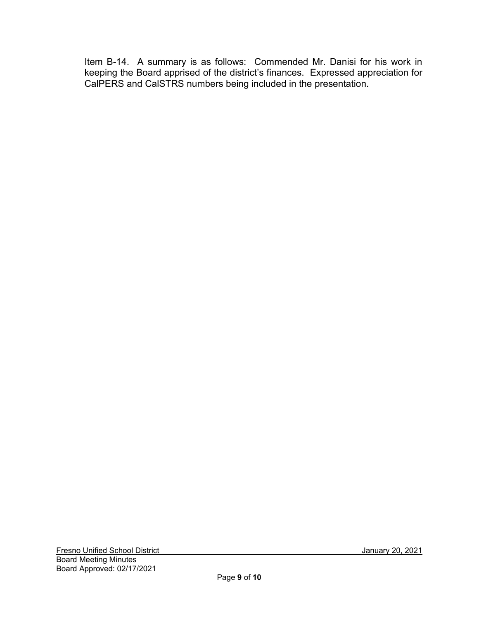Item B-14. A summary is as follows: Commended Mr. Danisi for his work in keeping the Board apprised of the district's finances. Expressed appreciation for CalPERS and CalSTRS numbers being included in the presentation.